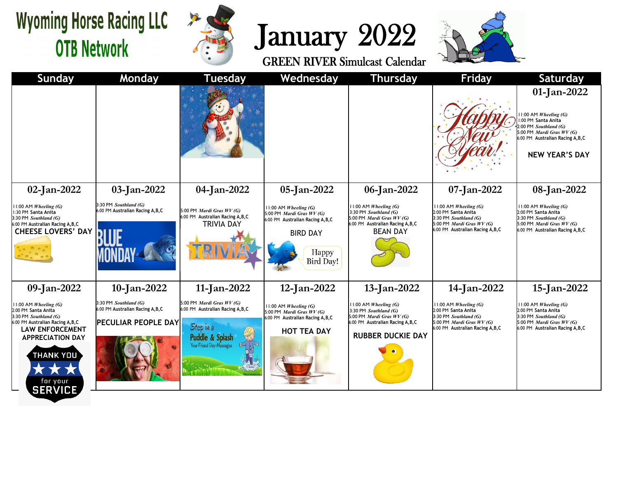## **Wyoming Horse Racing LLC OTB Network**



## January 2022



| <b>Sunday</b>                                                                                                                                                                                                                  | <b>Monday</b>                                                                     | <b>Tuesday</b>                                                                                                                               | Wednesday                                                                                                                                        | Thursday                                                                                                                                              | <b>Friday</b>                                                                                                                                           | <b>Saturday</b>                                                                                                                                                                          |
|--------------------------------------------------------------------------------------------------------------------------------------------------------------------------------------------------------------------------------|-----------------------------------------------------------------------------------|----------------------------------------------------------------------------------------------------------------------------------------------|--------------------------------------------------------------------------------------------------------------------------------------------------|-------------------------------------------------------------------------------------------------------------------------------------------------------|---------------------------------------------------------------------------------------------------------------------------------------------------------|------------------------------------------------------------------------------------------------------------------------------------------------------------------------------------------|
|                                                                                                                                                                                                                                |                                                                                   |                                                                                                                                              |                                                                                                                                                  |                                                                                                                                                       |                                                                                                                                                         | 01-Jan-2022<br>$11:00$ AM Wheeling (G)<br>1:00 PM Santa Anita<br>2:00 PM Southland (G)<br>5:00 PM <i>Mardi Gras WV (G)</i><br>6:00 PM Australian Racing A, B, C<br><b>NEW YEAR'S DAY</b> |
| 02-Jan-2022                                                                                                                                                                                                                    | 03-Jan-2022                                                                       | 04-Jan-2022                                                                                                                                  | 05-Jan-2022                                                                                                                                      | 06-Jan-2022                                                                                                                                           | 07-Jan-2022                                                                                                                                             | 08-Jan-2022                                                                                                                                                                              |
| 11:00 AM Wheeling $(G)$<br>1:30 PM Santa Anita<br>3:30 PM Southland (G)<br>6:00 PM Australian Racing A, B, C<br><b>CHEESE LOVERS' DAY</b>                                                                                      | 3:30 PM Southland (G)<br>6:00 PM Australian Racing A,B,C                          | 5:00 PM Mardi Gras WV (G)<br>6:00 PM Australian Racing A, B, C<br><b>TRIVIA DAY</b>                                                          | $11:00$ AM Wheeling (G)<br>5:00 PM <i>Mardi Gras WV (G)</i><br>6:00 PM Australian Racing A, B, C<br><b>BIRD DAY</b><br>Happy<br><b>Bird Day!</b> | $11:00$ AM Wheeling (G)<br>3:30 PM Southland (G)<br>5:00 PM Mardi Gras $WV(G)$<br>6:00 PM Australian Racing A, B, C<br><b>BEAN DAY</b>                | $11:00$ AM <i>Wheeling</i> (G)<br>2:00 PM Santa Anita<br>3:30 PM Southland (G)<br>5:00 PM <i>Mardi Gras WV (G)</i><br>6:00 PM Australian Racing A, B, C | $11:00$ AM Wheeling (G)<br>2:00 PM Santa Anita<br>3:30 PM Southland (G)<br>5:00 PM <i>Mardi Gras WV (G)</i><br>6:00 PM Australian Racing A, B, C                                         |
| 09-Jan-2022                                                                                                                                                                                                                    | 10-Jan-2022                                                                       | $11$ -Jan-2022                                                                                                                               | 12-Jan-2022                                                                                                                                      | 13-Jan-2022                                                                                                                                           | 14-Jan-2022                                                                                                                                             | 15-Jan-2022                                                                                                                                                                              |
| 11:00 AM Wheeling (G)<br>2:00 PM Santa Anita<br>3:30 PM Southland (G)<br>6:00 PM Australian Racing A, B, C<br><b>LAW ENFORCEMENT</b><br><b>APPRECIATION DAY</b><br><b>THANK YOU</b><br><b>**</b><br>for your<br><b>SERVICE</b> | 3:30 PM Southland (G)<br>6:00 PM Australian Racing A, B, C<br>PECULIAR PEOPLE DAY | 5:00 PM <i>Mardi Gras WV (G)</i><br>6:00 PM Australian Racing A, B, C<br>Step in a<br><b>Puddle &amp; Splash</b><br>Your Friend Day Messages | 11:00 AM Wheeling (G)<br>5:00 PM <i>Mardi Gras WV (G)</i><br>6:00 PM Australian Racing A, B, C<br><b>HOT TEA DAY</b>                             | $11:00$ AM Wheeling (G)<br>3:30 PM Southland (G)<br>5:00 PM <i>Mardi Gras WV</i> (G)<br>6:00 PM Australian Racing A, B, C<br><b>RUBBER DUCKIE DAY</b> | $11:00$ AM <i>Wheeling</i> (G)<br>2:00 PM Santa Anita<br>3:30 PM Southland (G)<br>5:00 PM <i>Mardi Gras WV (G)</i><br>6:00 PM Australian Racing A, B, C | $11:00$ AM <i>Wheeling</i> (G)<br>2:00 PM Santa Anita<br>3:30 PM Southland (G)<br>5:00 PM <i>Mardi Gras WV (G)</i><br>6:00 PM Australian Racing A, B, C                                  |